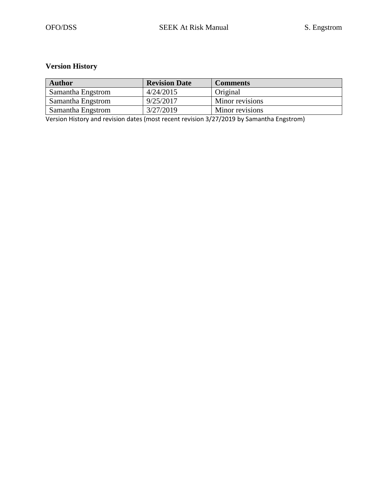## **Version History**

| <b>Author</b>     | <b>Revision Date</b> | <b>Comments</b> |
|-------------------|----------------------|-----------------|
| Samantha Engstrom | 4/24/2015            | Original        |
| Samantha Engstrom | 9/25/2017            | Minor revisions |
| Samantha Engstrom | 3/27/2019            | Minor revisions |

Version History and revision dates (most recent revision 3/27/2019 by Samantha Engstrom)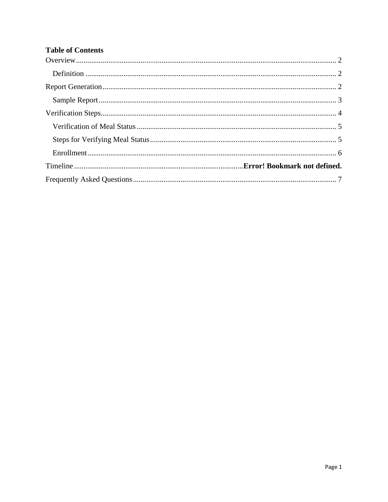# **Table of Contents**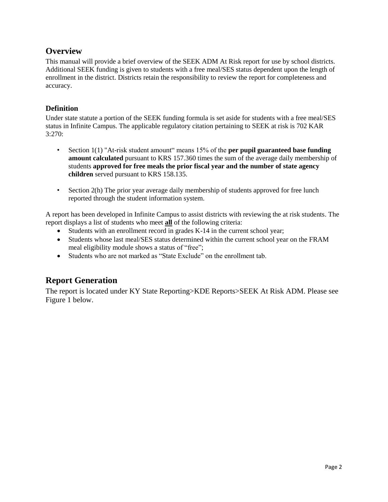## <span id="page-2-0"></span>**Overview**

This manual will provide a brief overview of the SEEK ADM At Risk report for use by school districts. Additional SEEK funding is given to students with a free meal/SES status dependent upon the length of enrollment in the district. Districts retain the responsibility to review the report for completeness and accuracy.

#### <span id="page-2-1"></span>**Definition**

Under state statute a portion of the SEEK funding formula is set aside for students with a free meal/SES status in Infinite Campus. The applicable regulatory citation pertaining to SEEK at risk is 702 KAR 3:270:

- Section 1(1) "At-risk student amount" means 15% of the **per pupil guaranteed base funding amount calculated** pursuant to KRS 157.360 times the sum of the average daily membership of students **approved for free meals the prior fiscal year and the number of state agency children** served pursuant to KRS 158.135.
- Section 2(h) The prior year average daily membership of students approved for free lunch reported through the student information system.

A report has been developed in Infinite Campus to assist districts with reviewing the at risk students. The report displays a list of students who meet **all** of the following criteria:

- Students with an enrollment record in grades K-14 in the current school year;
- Students whose last meal/SES status determined within the current school year on the FRAM meal eligibility module shows a status of "free";
- <span id="page-2-2"></span>• Students who are not marked as "State Exclude" on the enrollment tab.

# **Report Generation**

The report is located under KY State Reporting>KDE Reports>SEEK At Risk ADM. Please see Figure 1 below.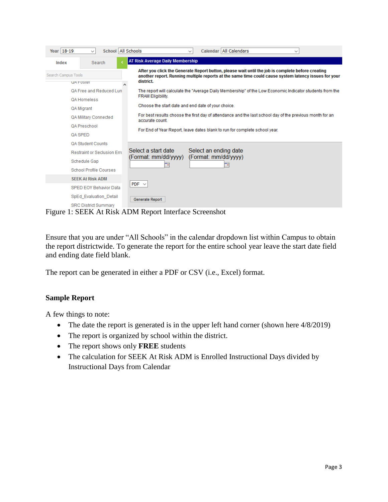| Year 18-19          | School All Schools<br>$\checkmark$                                                                                                         | Calendar   All Calendars<br>$\checkmark$<br>$\check{ }$                                                                                                                                                                                                                                                                                                                                                 |
|---------------------|--------------------------------------------------------------------------------------------------------------------------------------------|---------------------------------------------------------------------------------------------------------------------------------------------------------------------------------------------------------------------------------------------------------------------------------------------------------------------------------------------------------------------------------------------------------|
| Index               | Search                                                                                                                                     | <b>AT Risk Average Daily Membership</b>                                                                                                                                                                                                                                                                                                                                                                 |
| Search Campus Tools |                                                                                                                                            | After you click the Generate Report button, please wait until the job is complete before creating<br>another report. Running multiple reports at the same time could cause system latency issues for your<br>district.                                                                                                                                                                                  |
|                     | <b>UA FOSIEI</b><br>QA Free and Reduced Lun<br><b>QA Homeless</b><br>QA Migrant<br>QA Military Connected<br><b>QA Preschool</b><br>QA SPED | The report will calculate the "Average Daily Membership" of the Low Economic Indicator students from the<br><b>FRAM Eligibility.</b><br>Choose the start date and end date of your choice.<br>For best results choose the first day of attendance and the last school day of the previous month for an<br>accurate count.<br>For End of Year Report, leave dates blank to run for complete school year. |
|                     | <b>QA Student Counts</b><br><b>Restraint or Seclusion Frrd</b><br>Schedule Gap<br><b>School Profile Courses</b>                            | Select a start date<br>Select an ending date<br>(Format: mm/dd/yyyy)<br>(Format: mm/dd/yyyy)                                                                                                                                                                                                                                                                                                            |
|                     | <b>SEEK At Risk ADM</b><br><b>SPED EOY Behavior Data</b>                                                                                   | PDF $\vee$                                                                                                                                                                                                                                                                                                                                                                                              |
|                     | SpEd Evaluation Detail<br><b>SRC District Summary</b>                                                                                      | Generate Report                                                                                                                                                                                                                                                                                                                                                                                         |

Figure 1: SEEK At Risk ADM Report Interface Screenshot

Ensure that you are under "All Schools" in the calendar dropdown list within Campus to obtain the report districtwide. To generate the report for the entire school year leave the start date field and ending date field blank.

The report can be generated in either a PDF or CSV (i.e., Excel) format.

## <span id="page-3-0"></span>**Sample Report**

A few things to note:

- The date the report is generated is in the upper left hand corner (shown here  $4/8/2019$ )
- The report is organized by school within the district.
- The report shows only **FREE** students
- The calculation for SEEK At Risk ADM is Enrolled Instructional Days divided by Instructional Days from Calendar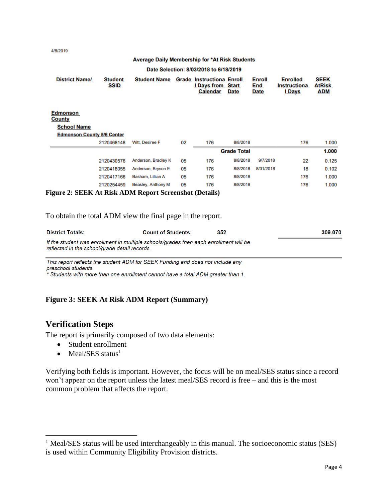4/8/2019

#### Average Daily Membership for \*At Risk Students

#### Date Selection: 8/03/2018 to 6/18/2019

| <b>District Name/</b>                                  | <b>Student</b><br>SSID | <b>Student Name</b> |    | <b>Grade Instructiona Enroll</b><br><b>I</b> Days from<br><b>Calendar</b> | Start<br><b>Date</b> | <b>Enroll</b><br>End<br><b>Date</b> | <b>Enrolled</b><br>Instructiona<br><b>I</b> Days | <b>SEEK</b><br><b>AtRisk</b><br><u>ADM</u> |
|--------------------------------------------------------|------------------------|---------------------|----|---------------------------------------------------------------------------|----------------------|-------------------------------------|--------------------------------------------------|--------------------------------------------|
| <b>Edmonson</b><br><b>County</b>                       |                        |                     |    |                                                                           |                      |                                     |                                                  |                                            |
| <b>School Name</b>                                     |                        |                     |    |                                                                           |                      |                                     |                                                  |                                            |
| <b>Edmonson County 5/6 Center</b>                      |                        |                     |    |                                                                           |                      |                                     |                                                  |                                            |
|                                                        | 2120468148             | Witt, Desiree F     | 02 | 176                                                                       | 8/8/2018             |                                     | 176                                              | 1.000                                      |
|                                                        |                        |                     |    |                                                                           | <b>Grade Total</b>   |                                     |                                                  | 1.000                                      |
|                                                        | 2120430576             | Anderson, Bradley K | 05 | 176                                                                       | 8/8/2018             | 9/7/2018                            | 22                                               | 0.125                                      |
|                                                        | 2120418055             | Anderson, Bryson E  | 05 | 176                                                                       | 8/8/2018             | 8/31/2018                           | 18                                               | 0.102                                      |
|                                                        | 2120417166             | Basham, Lillian A   | 05 | 176                                                                       | 8/8/2018             |                                     | 176                                              | 1.000                                      |
|                                                        | 2120254459             | Beasley, Anthony M  | 05 | 176                                                                       | 8/8/2018             |                                     | 176                                              | 1.000                                      |
| Figure 2: SEEK At Risk ADM Report Screenshot (Details) |                        |                     |    |                                                                           |                      |                                     |                                                  |                                            |

To obtain the total ADM view the final page in the report.

| <b>District Totals:</b>                                                                                                                | <b>Count of Students:</b> | 352 | 309.070 |
|----------------------------------------------------------------------------------------------------------------------------------------|---------------------------|-----|---------|
| If the student was enrollment in multiple schools/grades then each enrollment will be<br>reflected in the school/grade detail records. |                           |     |         |

This report reflects the student ADM for SEEK Funding and does not include any preschool students.

.<br>\* Students with more than one enrollment cannot have a total ADM greater than 1.

#### **Figure 3: SEEK At Risk ADM Report (Summary)**

## <span id="page-4-0"></span>**Verification Steps**

 $\overline{a}$ 

The report is primarily composed of two data elements:

- Student enrollment
- Meal/SES status $<sup>1</sup>$ </sup>

Verifying both fields is important. However, the focus will be on meal/SES status since a record won't appear on the report unless the latest meal/SES record is free – and this is the most common problem that affects the report.

 $<sup>1</sup>$  Meal/SES status will be used interchangeably in this manual. The socioeconomic status (SES)</sup> is used within Community Eligibility Provision districts.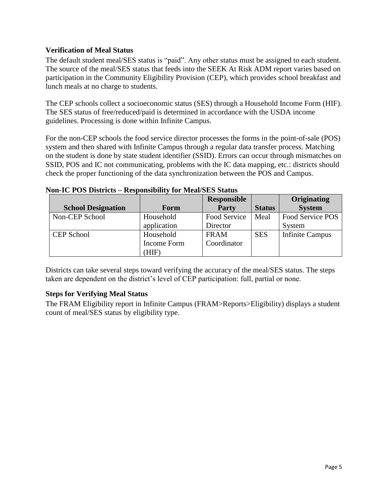## <span id="page-5-0"></span>**Verification of Meal Status**

The default student meal/SES status is "paid". Any other status must be assigned to each student. The source of the meal/SES status that feeds into the SEEK At Risk ADM report varies based on participation in the Community Eligibility Provision (CEP), which provides school breakfast and lunch meals at no charge to students.

The CEP schools collect a socioeconomic status (SES) through a Household Income Form (HIF). The SES status of free/reduced/paid is determined in accordance with the USDA income guidelines. Processing is done within Infinite Campus.

For the non-CEP schools the food service director processes the forms in the point-of-sale (POS) system and then shared with Infinite Campus through a regular data transfer process. Matching on the student is done by state student identifier (SSID). Errors can occur through mismatches on SSID, POS and IC not communicating, problems with the IC data mapping, etc.: districts should check the proper functioning of the data synchronization between the POS and Campus.

|                           |             | <b>Responsible</b> |               | Originating            |
|---------------------------|-------------|--------------------|---------------|------------------------|
| <b>School Designation</b> | Form        | Party              | <b>Status</b> | <b>System</b>          |
| Non-CEP School            | Household   | Food Service       | Meal          | Food Service POS       |
|                           | application | Director           |               | System                 |
| <b>CEP</b> School         | Household   | <b>FRAM</b>        | <b>SES</b>    | <b>Infinite Campus</b> |
|                           | Income Form | Coordinator        |               |                        |
|                           | (HIF)       |                    |               |                        |

## **Non-IC POS Districts – Responsibility for Meal/SES Status**

Districts can take several steps toward verifying the accuracy of the meal/SES status. The steps taken are dependent on the district's level of CEP participation: full, partial or none.

## <span id="page-5-1"></span>**Steps for Verifying Meal Status**

The FRAM Eligibility report in Infinite Campus (FRAM>Reports>Eligibility) displays a student count of meal/SES status by eligibility type.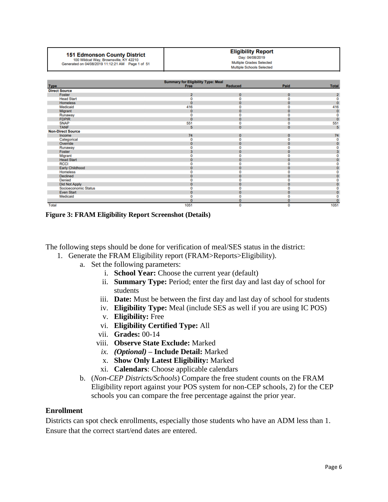## **151 Edmonson County District**

100 Wildcat Way, Brownsville, KY 42210<br>Generated on 04/08/2019 11:12:21 AM Page 1 of 51

#### **Eligibility Report** Day: 04/08/2019 Multiple Grades Selected

Multiple Schools Selected

| <b>Summary for Eligibility Type: Meal</b> |                |                |              |              |  |  |
|-------------------------------------------|----------------|----------------|--------------|--------------|--|--|
| <b>Type</b>                               | Free           | <b>Reduced</b> | Paid         | <b>Total</b> |  |  |
| <b>Direct Source</b>                      |                |                |              |              |  |  |
| Foster                                    | $\overline{2}$ | $\mathbf{0}$   | $\mathbf{0}$ |              |  |  |
| <b>Head Start</b>                         |                | O              |              |              |  |  |
| <b>Homeless</b>                           |                | 0              |              |              |  |  |
| Medicaid                                  | 416            |                |              | 416          |  |  |
| Migrant                                   | $\mathbf{0}$   | $\mathbf{0}$   | O            | 0            |  |  |
| Runaway                                   |                | n              |              |              |  |  |
| <b>FDPIR</b>                              |                | 0              | n            | Ō            |  |  |
| <b>SNAP</b>                               | 551            | o              |              | 551          |  |  |
| <b>TANF</b>                               | 5              | $\mathbf{0}$   | $\mathbf{0}$ | 5            |  |  |
| <b>Non-Direct Source</b>                  |                |                |              |              |  |  |
| Income                                    | 74             | $\mathbf{0}$   | $\Omega$     | 74           |  |  |
| Categorical                               |                | n              |              | 0            |  |  |
| Override                                  |                | $\mathbf{0}$   | O            |              |  |  |
| Runaway                                   |                | n              |              |              |  |  |
| Foster                                    |                | $\Omega$       | n            |              |  |  |
| Migrant                                   |                |                |              |              |  |  |
| <b>Head Start</b>                         |                | $\Omega$       |              |              |  |  |
| <b>RCCI</b>                               |                |                |              |              |  |  |
| <b>Early Childhood</b>                    |                | 0              |              |              |  |  |
| <b>Homeless</b>                           |                |                |              |              |  |  |
| Declined                                  |                | 0              |              |              |  |  |
| <b>Denied</b>                             |                | n              |              |              |  |  |
| <b>Did Not Apply</b>                      |                | $\mathbf{0}$   |              |              |  |  |
| Socioeconomic Status                      |                |                |              |              |  |  |
| <b>Even Start</b>                         |                | $\Omega$       | $\Omega$     |              |  |  |
| Medicaid                                  |                |                |              |              |  |  |
|                                           |                | 0              | o            |              |  |  |
| <b>Total</b>                              | 1051           | 0              | 0            | 1051         |  |  |

**Figure 3: FRAM Eligibility Report Screenshot (Details)**

The following steps should be done for verification of meal/SES status in the district:

- 1. Generate the FRAM Eligibility report (FRAM>Reports>Eligibility).
	- a. Set the following parameters:
		- i. **School Year:** Choose the current year (default)
		- ii. **Summary Type:** Period; enter the first day and last day of school for students
		- iii. **Date:** Must be between the first day and last day of school for students
		- iv. **Eligibility Type:** Meal (include SES as well if you are using IC POS)
		- v. **Eligibility:** Free
		- vi. **Eligibility Certified Type:** All
		- vii. **Grades:** 00-14
		- viii. **Observe State Exclude:** Marked
			- *ix. (Optional)* **– Include Detail:** Marked
			- x. **Show Only Latest Eligibility:** Marked
		- xi. **Calendars**: Choose applicable calendars
	- b. (*Non-CEP Districts/Schools*) Compare the free student counts on the FRAM Eligibility report against your POS system for non-CEP schools, 2) for the CEP schools you can compare the free percentage against the prior year.

#### <span id="page-6-0"></span>**Enrollment**

Districts can spot check enrollments, especially those students who have an ADM less than 1. Ensure that the correct start/end dates are entered.